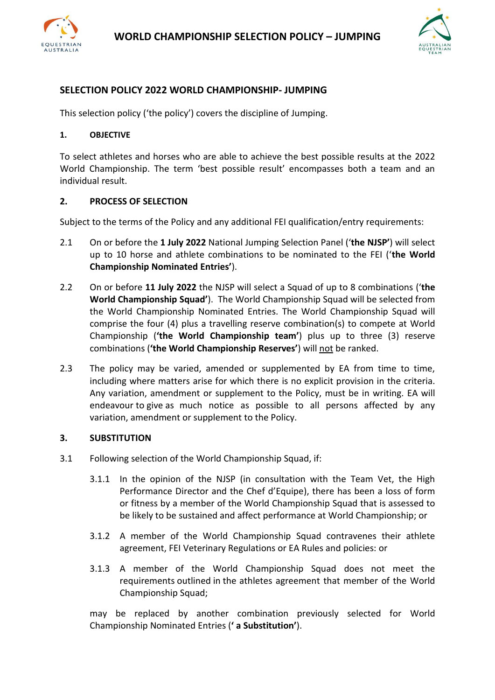



# **SELECTION POLICY 2022 WORLD CHAMPIONSHIP- JUMPING**

This selection policy ('the policy') covers the discipline of Jumping.

#### **1. OBJECTIVE**

To select athletes and horses who are able to achieve the best possible results at the 2022 World Championship. The term 'best possible result' encompasses both a team and an individual result.

### **2. PROCESS OF SELECTION**

Subject to the terms of the Policy and any additional FEI qualification/entry requirements:

- 2.1 On or before the **1 July 2022** National Jumping Selection Panel ('**the NJSP'**) will select up to 10 horse and athlete combinations to be nominated to the FEI ('**the World Championship Nominated Entries'**).
- 2.2 On or before **11 July 2022** the NJSP will select a Squad of up to 8 combinations ('**the World Championship Squad'**). The World Championship Squad will be selected from the World Championship Nominated Entries. The World Championship Squad will comprise the four (4) plus a travelling reserve combination(s) to compete at World Championship (**'the World Championship team'**) plus up to three (3) reserve combinations (**'the World Championship Reserves'**) will not be ranked.
- 2.3 The policy may be varied, amended or supplemented by EA from time to time, including where matters arise for which there is no explicit provision in the criteria. Any variation, amendment or supplement to the Policy, must be in writing. EA will endeavour to give as much notice as possible to all persons affected by any variation, amendment or supplement to the Policy.

#### **3. SUBSTITUTION**

- 3.1 Following selection of the World Championship Squad, if:
	- 3.1.1 In the opinion of the NJSP (in consultation with the Team Vet, the High Performance Director and the Chef d'Equipe), there has been a loss of form or fitness by a member of the World Championship Squad that is assessed to be likely to be sustained and affect performance at World Championship; or
	- 3.1.2 A member of the World Championship Squad contravenes their athlete agreement, FEI Veterinary Regulations or EA Rules and policies: or
	- 3.1.3 A member of the World Championship Squad does not meet the requirements outlined in the athletes agreement that member of the World Championship Squad;

may be replaced by another combination previously selected for World Championship Nominated Entries (**' a Substitution'**).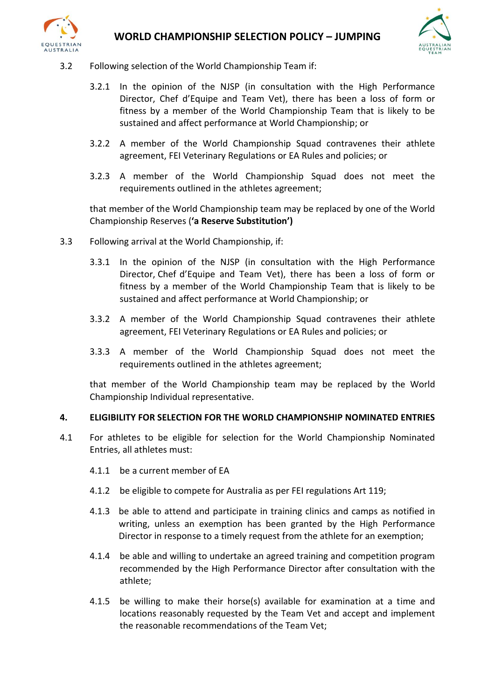



- 3.2 Following selection of the World Championship Team if:
	- 3.2.1 In the opinion of the NJSP (in consultation with the High Performance Director, Chef d'Equipe and Team Vet), there has been a loss of form or fitness by a member of the World Championship Team that is likely to be sustained and affect performance at World Championship; or
	- 3.2.2 A member of the World Championship Squad contravenes their athlete agreement, FEI Veterinary Regulations or EA Rules and policies; or
	- 3.2.3 A member of the World Championship Squad does not meet the requirements outlined in the athletes agreement;

that member of the World Championship team may be replaced by one of the World Championship Reserves (**'a Reserve Substitution')**

- 3.3 Following arrival at the World Championship, if:
	- 3.3.1 In the opinion of the NJSP (in consultation with the High Performance Director, Chef d'Equipe and Team Vet), there has been a loss of form or fitness by a member of the World Championship Team that is likely to be sustained and affect performance at World Championship; or
	- 3.3.2 A member of the World Championship Squad contravenes their athlete agreement, FEI Veterinary Regulations or EA Rules and policies; or
	- 3.3.3 A member of the World Championship Squad does not meet the requirements outlined in the athletes agreement;

that member of the World Championship team may be replaced by the World Championship Individual representative.

#### **4. ELIGIBILITY FOR SELECTION FOR THE WORLD CHAMPIONSHIP NOMINATED ENTRIES**

- 4.1 For athletes to be eligible for selection for the World Championship Nominated Entries, all athletes must:
	- 4.1.1 be a current member of EA
	- 4.1.2 be eligible to compete for Australia as per FEI regulations Art 119;
	- 4.1.3 be able to attend and participate in training clinics and camps as notified in writing, unless an exemption has been granted by the High Performance Director in response to a timely request from the athlete for an exemption;
	- 4.1.4 be able and willing to undertake an agreed training and competition program recommended by the High Performance Director after consultation with the athlete;
	- 4.1.5 be willing to make their horse(s) available for examination at a time and locations reasonably requested by the Team Vet and accept and implement the reasonable recommendations of the Team Vet;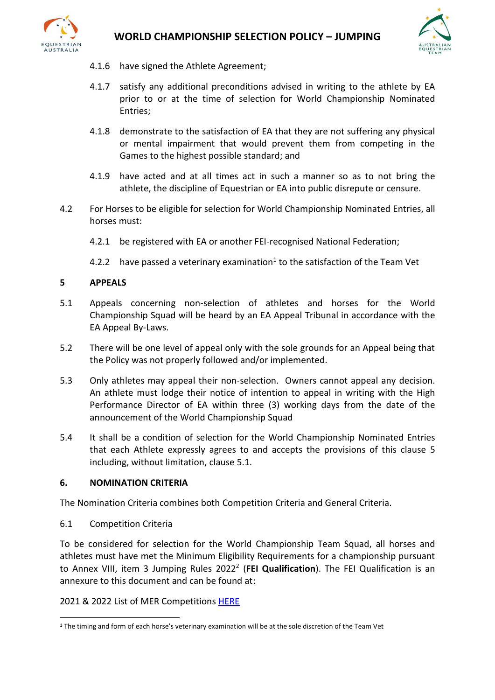



- 4.1.6 have signed the Athlete Agreement;
- 4.1.7 satisfy any additional preconditions advised in writing to the athlete by EA prior to or at the time of selection for World Championship Nominated Entries;
- 4.1.8 demonstrate to the satisfaction of EA that they are not suffering any physical or mental impairment that would prevent them from competing in the Games to the highest possible standard; and
- 4.1.9 have acted and at all times act in such a manner so as to not bring the athlete, the discipline of Equestrian or EA into public disrepute or censure.
- 4.2 For Horses to be eligible for selection for World Championship Nominated Entries, all horses must:
	- 4.2.1 be registered with EA or another FEI-recognised National Federation;
	- 4.2.2 have passed a veterinary examination<sup>1</sup> to the satisfaction of the Team Vet

# **5 APPEALS**

- 5.1 Appeals concerning non-selection of athletes and horses for the World Championship Squad will be heard by an EA Appeal Tribunal in accordance with the EA Appeal By-Laws.
- 5.2 There will be one level of appeal only with the sole grounds for an Appeal being that the Policy was not properly followed and/or implemented.
- 5.3 Only athletes may appeal their non-selection. Owners cannot appeal any decision. An athlete must lodge their notice of intention to appeal in writing with the High Performance Director of EA within three (3) working days from the date of the announcement of the World Championship Squad
- 5.4 It shall be a condition of selection for the World Championship Nominated Entries that each Athlete expressly agrees to and accepts the provisions of this clause 5 including, without limitation, clause 5.1.

#### **6. NOMINATION CRITERIA**

The Nomination Criteria combines both Competition Criteria and General Criteria.

6.1 Competition Criteria

To be considered for selection for the World Championship Team Squad, all horses and athletes must have met the Minimum Eligibility Requirements for a championship pursuant to Annex VIII, item 3 Jumping Rules 2022<sup>2</sup> (FEI Qualification). The FEI Qualification is an annexure to this document and can be found at:

2021 & 2022 List of MER Competitions [HERE](https://inside.fei.org/fei/disc/jumping/main-events/world-seniors-2022)

<sup>1</sup> The timing and form of each horse's veterinary examination will be at the sole discretion of the Team Vet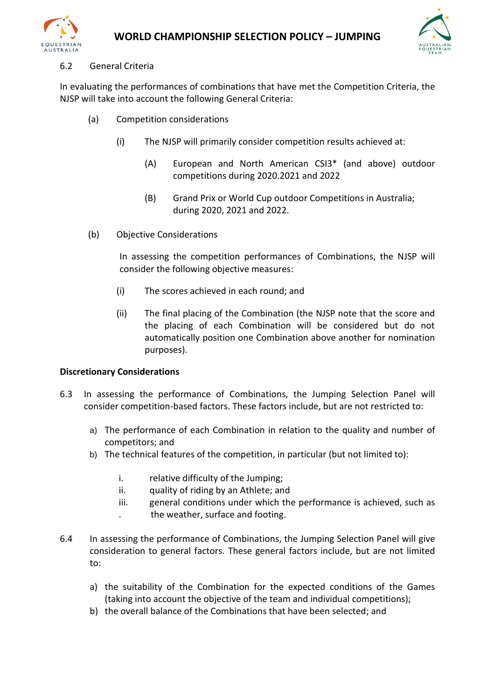



# 6.2 General Criteria

In evaluating the performances of combinations that have met the Competition Criteria, the NJSP will take into account the following General Criteria:

- (a) Competition considerations
	- (i) The NJSP will primarily consider competition results achieved at:
		- (A) European and North American CSI3\* (and above) outdoor competitions during 2020.2021 and 2022
		- (B) Grand Prix or World Cup outdoor Competitions in Australia; during 2020, 2021 and 2022.
- (b) Objective Considerations

In assessing the competition performances of Combinations, the NJSP will consider the following objective measures:

- (i) The scores achieved in each round; and
- (ii) The final placing of the Combination (the NJSP note that the score and the placing of each Combination will be considered but do not automatically position one Combination above another for nomination purposes).

# **Discretionary Considerations**

- 6.3 In assessing the performance of Combinations, the Jumping Selection Panel will consider competition-based factors. These factors include, but are not restricted to:
	- a) The performance of each Combination in relation to the quality and number of competitors; and
	- b) The technical features of the competition, in particular (but not limited to):
		- i. relative difficulty of the Jumping;
		- ii. quality of riding by an Athlete; and
		- iii. general conditions under which the performance is achieved, such as . the weather, surface and footing.
- 6.4 In assessing the performance of Combinations, the Jumping Selection Panel will give consideration to general factors. These general factors include, but are not limited to:
	- a) the suitability of the Combination for the expected conditions of the Games (taking into account the objective of the team and individual competitions);
	- b) the overall balance of the Combinations that have been selected; and